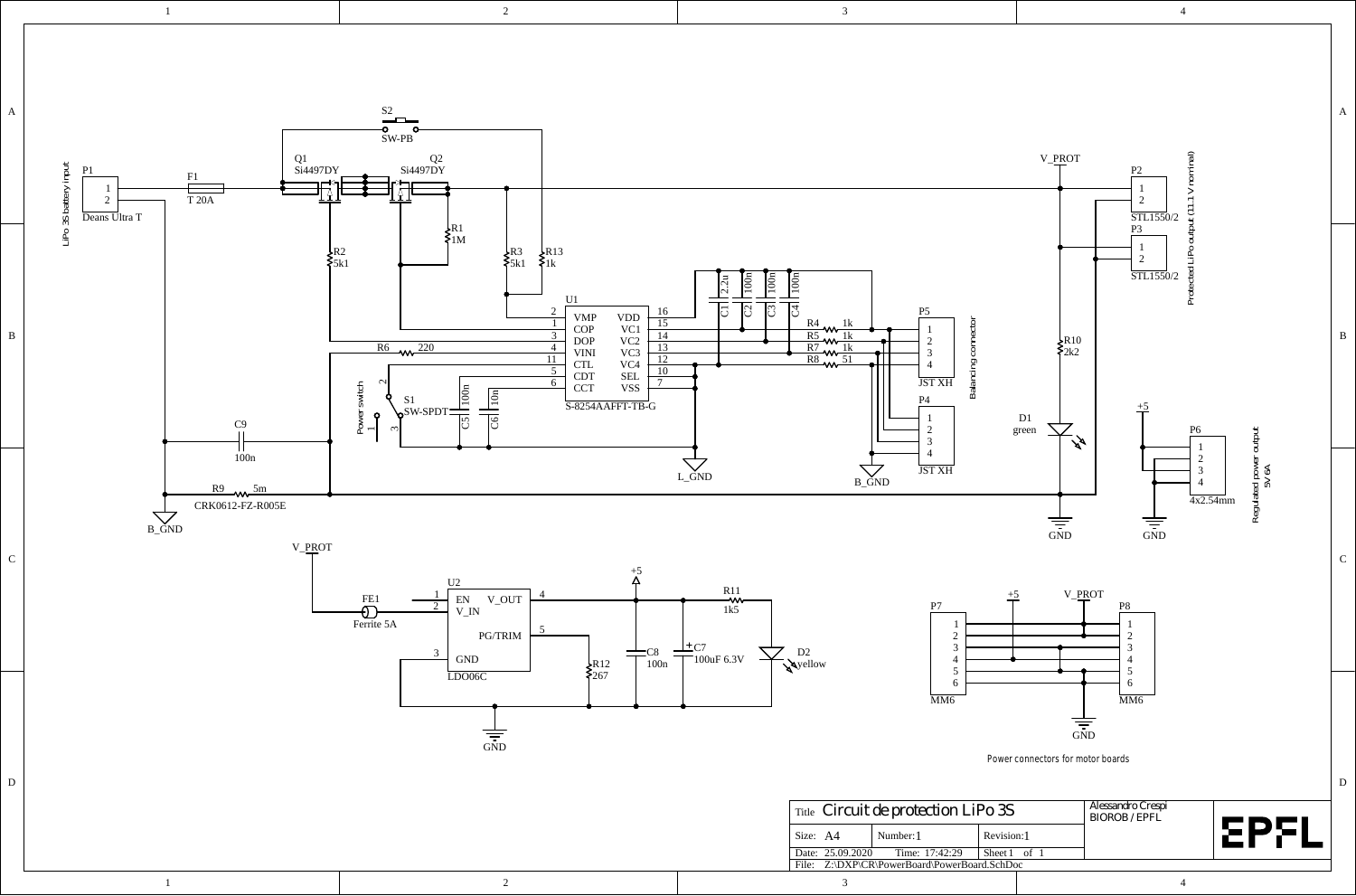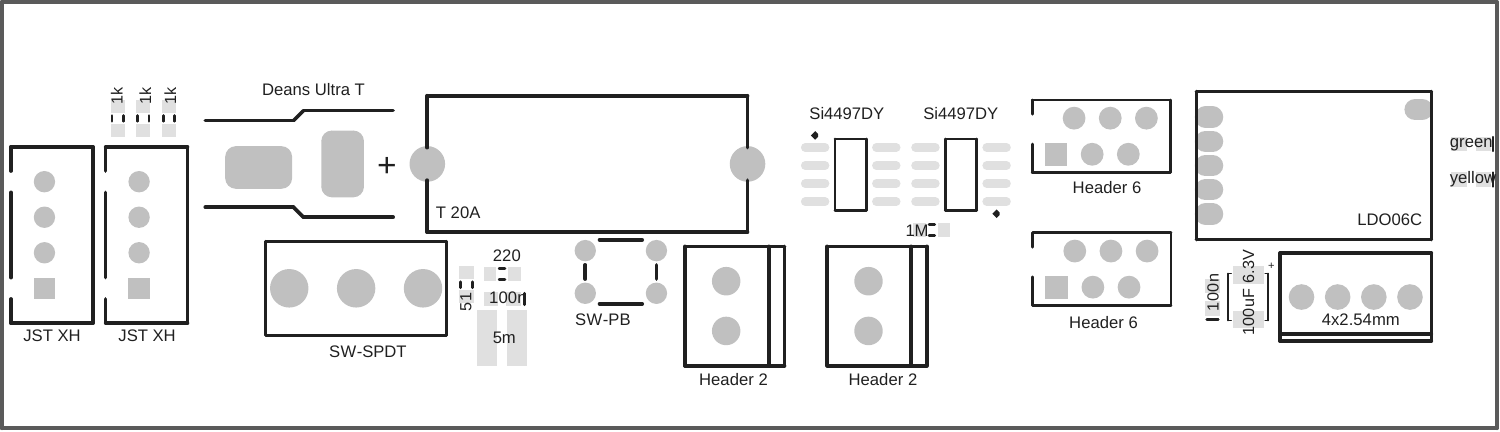